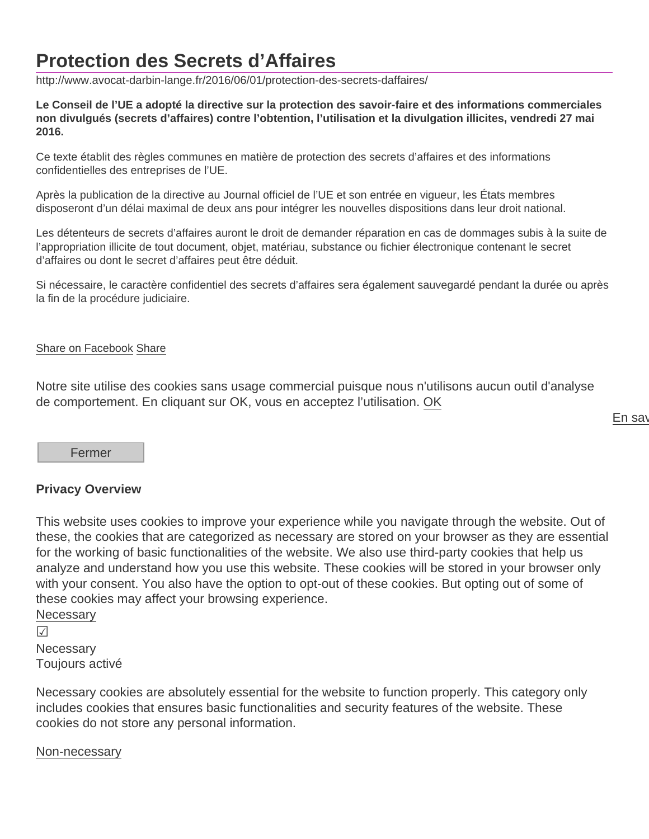## Protection des Secrets d'Affaires

http://www.avocat-darbin-lange.fr/2016/06/01/protection-des-secrets-daffaires/

Le Conseil de l'UE a adopté la directive sur la protection des savoir-faire et des informations commerciales non divulgués (secrets d'affaires) contre l'obtention, l'utilisation et la divulgation illicites, vendredi 27 mai 2016.

Ce texte établit des règles communes en matière de protection des secrets d'affaires et des informations confidentielles des entreprises de l'UE.

Après la publication de la directive au Journal officiel de l'UE et son entrée en vigueur, les États membres disposeront d'un délai maximal de deux ans pour intégrer les nouvelles dispositions dans leur droit national.

Les détenteurs de secrets d'affaires auront le droit de demander réparation en cas de dommages subis à la suite de l'appropriation illicite de tout document, objet, matériau, substance ou fichier électronique contenant le secret d'affaires ou dont le secret d'affaires peut être déduit.

Si nécessaire, le caractère confidentiel des secrets d'affaires sera également sauvegardé pendant la durée ou après la fin de la procédure judiciaire.

## [Share on Facebook](https://www.facebook.com/sharer/sharer.php?u=http://www.avocat-darbin-lange.fr/2016/06/01/protection-des-secrets-daffaires/) Share

Notre site utilise des cookies sans usage commercial puisque nous n'utilisons aucun outil d'analyse de comportement. En cliquant sur OK, vous en acceptez l'utilisation. OK

En say

Fermer

## Privacy Overview

This website uses cookies to improve your experience while you navigate through the website. Out of these, the cookies that are categorized as necessary are stored on your browser as they are essential for the working of basic functionalities of the website. We also use third-party cookies that help us analyze and understand how you use this website. These cookies will be stored in your browser only with your consent. You also have the option to opt-out of these cookies. But opting out of some of these cookies may affect your browsing experience. **Necessary** 

&

**Necessary** Toujours activé

Necessary cookies are absolutely essential for the website to function properly. This category only includes cookies that ensures basic functionalities and security features of the website. These cookies do not store any personal information.

## Non-necessary